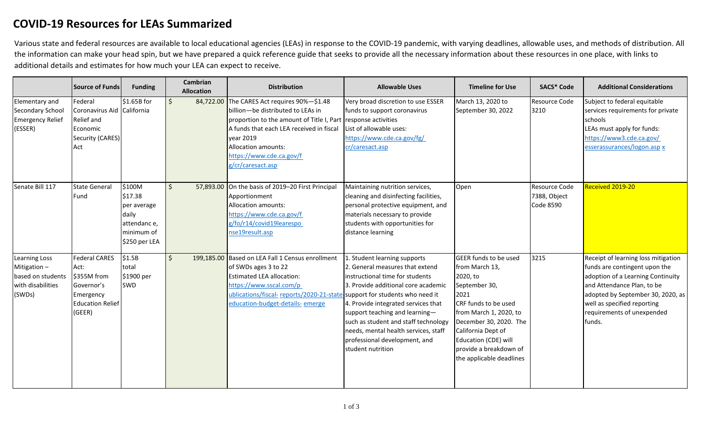## **COVID-19 Resources for LEAs Summarized**

Various state and federal resources are available to local educational agencies (LEAs) in response to the COVID-19 pandemic, with varying deadlines, allowable uses, and methods of distribution. All the information can make your head spin, but we have prepared a quick reference guide that seeks to provide all the necessary information about these resources in one place, with links to additional details and estimates for how much your LEA can expect to receive.

|                                                                                  | <b>Source of Funds</b>                                                                                      | <b>Funding</b>                                                                          | <b>Cambrian</b><br><b>Allocation</b> | <b>Distribution</b>                                                                                                                                                                                                                                                                | <b>Allowable Uses</b>                                                                                                                                                                                                                                                                                                                                    | <b>Timeline for Use</b>                                                                                                                                                                                                                                             | <b>SACS* Code</b>                                 | <b>Additional Considerations</b>                                                                                                                                                                                                                    |
|----------------------------------------------------------------------------------|-------------------------------------------------------------------------------------------------------------|-----------------------------------------------------------------------------------------|--------------------------------------|------------------------------------------------------------------------------------------------------------------------------------------------------------------------------------------------------------------------------------------------------------------------------------|----------------------------------------------------------------------------------------------------------------------------------------------------------------------------------------------------------------------------------------------------------------------------------------------------------------------------------------------------------|---------------------------------------------------------------------------------------------------------------------------------------------------------------------------------------------------------------------------------------------------------------------|---------------------------------------------------|-----------------------------------------------------------------------------------------------------------------------------------------------------------------------------------------------------------------------------------------------------|
| Elementary and<br>Secondary School<br><b>Emergency Relief</b><br>(ESSER)         | Federal<br>Coronavirus Aid California<br>Relief and<br>Economic<br>Security (CARES)<br>Act                  | \$1.65B for                                                                             | $\mathsf{S}$                         | 84,722.00 The CARES Act requires 90%-\$1.48<br>billion-be distributed to LEAs in<br>proportion to the amount of Title I, Part response activities<br>A funds that each LEA received in fiscal<br>vear 2019<br>Allocation amounts:<br>https://www.cde.ca.gov/f<br>g/cr/caresact.asp | Very broad discretion to use ESSER<br>funds to support coronavirus<br>List of allowable uses:<br>https://www.cde.ca.gov/fg/<br>cr/caresact.asp                                                                                                                                                                                                           | March 13, 2020 to<br>September 30, 2022                                                                                                                                                                                                                             | Resource Code<br>3210                             | Subject to federal equitable<br>services requirements for private<br>schools<br>LEAs must apply for funds:<br>https://www3.cde.ca.gov/<br>esserassurances/logon.asp x                                                                               |
| Senate Bill 117                                                                  | <b>State General</b><br>Fund                                                                                | \$100M<br>\$17.38<br>per average<br>daily<br>attendance,<br>minimum of<br>\$250 per LEA | $\zeta$                              | 57,893.00 On the basis of 2019-20 First Principal<br>Apportionment<br>Allocation amounts:<br>https://www.cde.ca.gov/f<br>g/fo/r14/covid19learespo<br>nse19result.asp                                                                                                               | Maintaining nutrition services,<br>cleaning and disinfecting facilities,<br>personal protective equipment, and<br>materials necessary to provide<br>students with opportunities for<br>distance learning                                                                                                                                                 | Open                                                                                                                                                                                                                                                                | Resource Code<br>7388, Object<br><b>Code 8590</b> | Received 2019-20                                                                                                                                                                                                                                    |
| Learning Loss<br>Mitigation-<br>based on students<br>with disabilities<br>(SWDs) | <b>Federal CARES</b><br>Act:<br>\$355M from<br>Governor's<br>Emergency<br><b>Education Relief</b><br>(GEER) | \$1.5B<br>total<br>\$1900 per<br>SWD                                                    | $\mathsf{S}$                         | 199,185.00 Based on LEA Fall 1 Census enrollment<br>of SWDs ages 3 to 22<br><b>Estimated LEA allocation:</b><br>https://www.sscal.com/p<br>ublications/fiscal-reports/2020-21-state-support for students who need it<br>education-budget-details- emerge                           | 1. Student learning supports<br>2. General measures that extend<br>instructional time for students<br>3. Provide additional core academic<br>4. Provide integrated services that<br>support teaching and learning-<br>such as student and staff technology<br>needs, mental health services, staff<br>professional development, and<br>student nutrition | <b>GEER funds to be used</b><br>from March 13,<br>2020, to<br>September 30,<br>2021<br>CRF funds to be used<br>from March 1, 2020, to<br>December 30, 2020. The<br>California Dept of<br>Education (CDE) will<br>provide a breakdown of<br>the applicable deadlines | 3215                                              | Receipt of learning loss mitigation<br>funds are contingent upon the<br>adoption of a Learning Continuity<br>and Attendance Plan, to be<br>adopted by September 30, 2020, as<br>well as specified reporting<br>requirements of unexpended<br>funds. |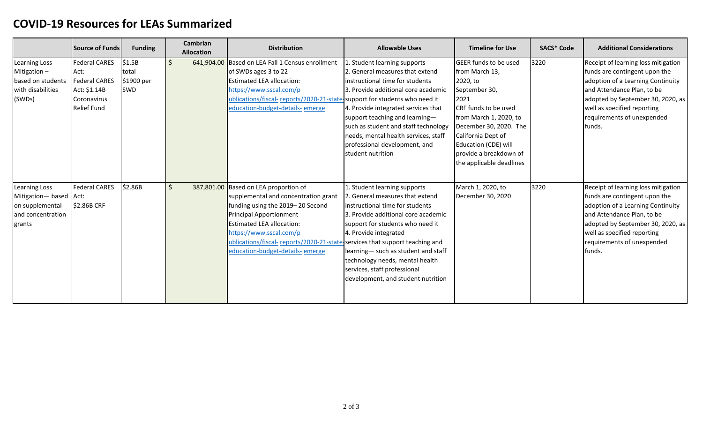## **COVID-19 Resources for LEAs Summarized**

|                                                                                          | <b>Source of Funds</b>                                                                                    | <b>Funding</b>                       | Cambrian<br><b>Allocation</b> | <b>Distribution</b>                                                                                                                                                                                                                                                                                                                   | <b>Allowable Uses</b>                                                                                                                                                                                                                                                                                                                                   | <b>Timeline for Use</b>                                                                                                                                                                                                                                                     | <b>SACS* Code</b> | <b>Additional Considerations</b>                                                                                                                                                                                                                     |
|------------------------------------------------------------------------------------------|-----------------------------------------------------------------------------------------------------------|--------------------------------------|-------------------------------|---------------------------------------------------------------------------------------------------------------------------------------------------------------------------------------------------------------------------------------------------------------------------------------------------------------------------------------|---------------------------------------------------------------------------------------------------------------------------------------------------------------------------------------------------------------------------------------------------------------------------------------------------------------------------------------------------------|-----------------------------------------------------------------------------------------------------------------------------------------------------------------------------------------------------------------------------------------------------------------------------|-------------------|------------------------------------------------------------------------------------------------------------------------------------------------------------------------------------------------------------------------------------------------------|
| Learning Loss<br>Mitigation-<br>based on students<br>with disabilities<br>(SWDs)         | <b>Federal CARES</b><br>Act:<br><b>Federal CARES</b><br>Act: \$1.14B<br>Coronavirus<br><b>Relief Fund</b> | \$1.5B<br>total<br>\$1900 per<br>SWD |                               | 641,904.00 Based on LEA Fall 1 Census enrollment<br>of SWDs ages 3 to 22<br><b>Estimated LEA allocation:</b><br>https://www.sscal.com/p<br>ublications/fiscal-reports/2020-21-state-support for students who need it<br>education-budget-details- emerge                                                                              | . Student learning supports<br>2. General measures that extend<br>instructional time for students<br>3. Provide additional core academic<br>4. Provide integrated services that<br>support teaching and learning-<br>such as student and staff technology<br>needs, mental health services, staff<br>professional development, and<br>student nutrition | <b>GEER</b> funds to be used<br>from March 13,<br>2020, to<br>September 30,<br>2021<br><b>ICRF</b> funds to be used<br>from March 1, 2020, to<br>December 30, 2020. The<br>California Dept of<br>Education (CDE) will<br>provide a breakdown of<br>the applicable deadlines | 3220              | Receipt of learning loss mitigation<br>funds are contingent upon the<br>adoption of a Learning Continuity<br>and Attendance Plan, to be<br>adopted by September 30, 2020, as<br>well as specified reporting<br>requirements of unexpended<br>funds.  |
| Learning Loss<br>Mitigation-based Act:<br>on supplemental<br>and concentration<br>grants | <b>Federal CARES</b><br>\$2.86B CRF                                                                       | \$2.86B                              | <sup>\$</sup>                 | 387,801.00 Based on LEA proportion of<br>supplemental and concentration grant<br>funding using the 2019-20 Second<br><b>Principal Apportionment</b><br><b>Estimated LEA allocation:</b><br>https://www.sscal.com/p<br>ublications/fiscal-reports/2020-21-state-services that support teaching and<br>education-budget-details- emerge | 1. Student learning supports<br>2. General measures that extend<br>instructional time for students<br>3. Provide additional core academic<br>support for students who need it<br>4. Provide integrated<br>learning- such as student and staff<br>technology needs, mental health<br>services, staff professional<br>development, and student nutrition  | March 1, 2020, to<br>December 30, 2020                                                                                                                                                                                                                                      | 3220              | Receipt of learning loss mitigation<br>funds are contingent upon the<br>adoption of a Learning Continuity<br>and Attendance Plan, to be<br>adopted by September 30, 2020, as<br>well as specified reporting<br>requirements of unexpended<br>lfunds. |